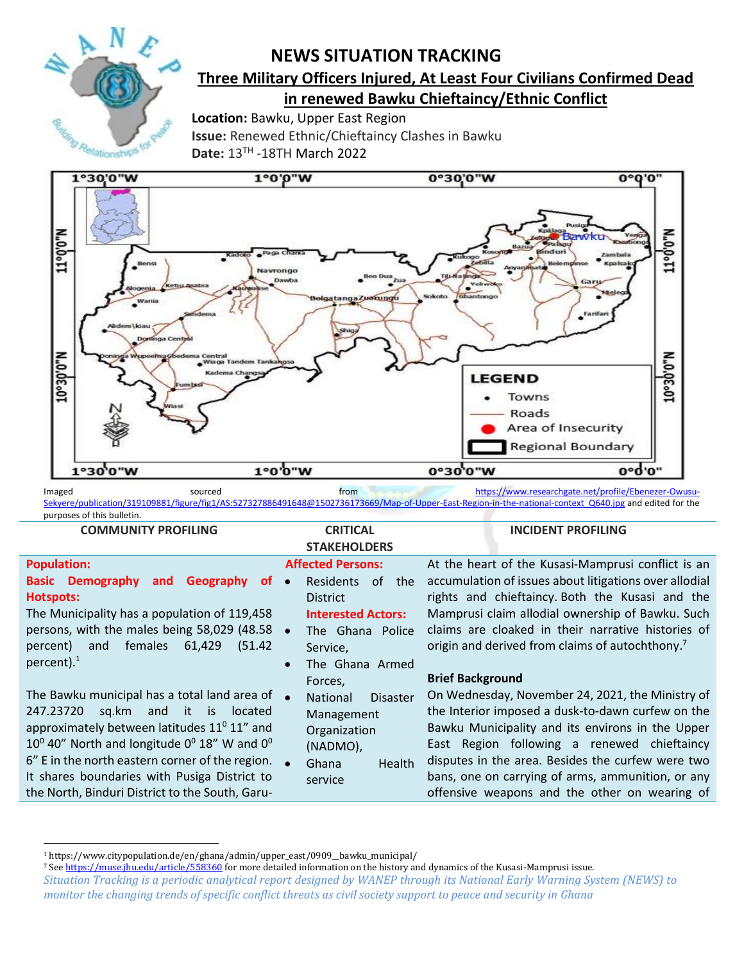

# **NEWS SITUATION TRACKING**

# **Three Military Officers Injured, At Least Four Civilians Confirmed Dead in renewed Bawku Chieftaincy/Ethnic Conflict**

**Location:** Bawku, Upper East Region **Issue:** Renewed Ethnic/Chieftaincy Clashes in Bawku **Date:** 13TH -18TH March 2022



Imaged sourced sourced from [https://www.researchgate.net/profile/Ebenezer-Owusu-](https://www.researchgate.net/profile/Ebenezer-Owusu-Sekyere/publication/319109881/figure/fig1/AS:527327886491648@1502736173669/Map-of-Upper-East-Region-in-the-national-context_Q640.jpg)[Sekyere/publication/319109881/figure/fig1/AS:527327886491648@1502736173669/Map-of-Upper-East-Region-in-the-national-context\\_Q640.jpg](https://www.researchgate.net/profile/Ebenezer-Owusu-Sekyere/publication/319109881/figure/fig1/AS:527327886491648@1502736173669/Map-of-Upper-East-Region-in-the-national-context_Q640.jpg) and edited for the purposes of this bulletin.

## **COMMUNITY PROFILING CRITICAL**

#### **INCIDENT PROFILING**

|                                                                                                                                                                                                                                                                                                                                                                                                                           | <b>STAKEHOLDERS</b>                                                                                                                                                    |                                                                                                                                                                                                                                                                                                                                                                                                |
|---------------------------------------------------------------------------------------------------------------------------------------------------------------------------------------------------------------------------------------------------------------------------------------------------------------------------------------------------------------------------------------------------------------------------|------------------------------------------------------------------------------------------------------------------------------------------------------------------------|------------------------------------------------------------------------------------------------------------------------------------------------------------------------------------------------------------------------------------------------------------------------------------------------------------------------------------------------------------------------------------------------|
| <b>Population:</b><br><b>Basic Demography</b><br>Geography<br><b>of</b><br>and<br><b>Hotspots:</b><br>The Municipality has a population of 119,458<br>persons, with the males being 58,029 (48.58 •<br>females<br>61,429<br>(51.42)<br>percent)<br>and<br>percent). $1$                                                                                                                                                   | <b>Affected Persons:</b><br><b>Residents</b><br>of the<br>$\bullet$<br><b>District</b><br><b>Interested Actors:</b><br>The Ghana Police<br>Service,<br>The Ghana Armed | At the heart of the Kusasi-Mamprusi conflict is an<br>accumulation of issues about litigations over allodial<br>rights and chieftaincy. Both the Kusasi and the<br>Mamprusi claim allodial ownership of Bawku. Such<br>claims are cloaked in their narrative histories of<br>origin and derived from claims of autochthony. <sup>7</sup>                                                       |
| The Bawku municipal has a total land area of •<br>sq.km and it is located<br>247.23720<br>approximately between latitudes $11^{\circ}$ 11" and<br>10 <sup>°</sup> 40 <sup>°</sup> North and longitude 0 <sup>°</sup> 18 <sup>°</sup> W and 0 <sup>°</sup><br>6" E in the north eastern corner of the region. $\bullet$<br>It shares boundaries with Pusiga District to<br>the North, Binduri District to the South, Garu- | Forces,<br>National<br><b>Disaster</b><br>Management<br>Organization<br>(NADMO),<br>Ghana<br>Health<br>service                                                         | <b>Brief Background</b><br>On Wednesday, November 24, 2021, the Ministry of<br>the Interior imposed a dusk-to-dawn curfew on the<br>Bawku Municipality and its environs in the Upper<br>East Region following a renewed chieftaincy<br>disputes in the area. Besides the curfew were two<br>bans, one on carrying of arms, ammunition, or any<br>offensive weapons and the other on wearing of |

<sup>1</sup> https://www.citypopulation.de/en/ghana/admin/upper\_east/0909\_\_bawku\_municipal/

<sup>7</sup> Se[e https://muse.jhu.edu/article/558360](https://muse.jhu.edu/article/558360) for more detailed information on the history and dynamics of the Kusasi-Mamprusi issue.

*Situation Tracking is a periodic analytical report designed by WANEP through its National Early Warning System (NEWS) to monitor the changing trends of specific conflict threats as civil society support to peace and security in Ghana*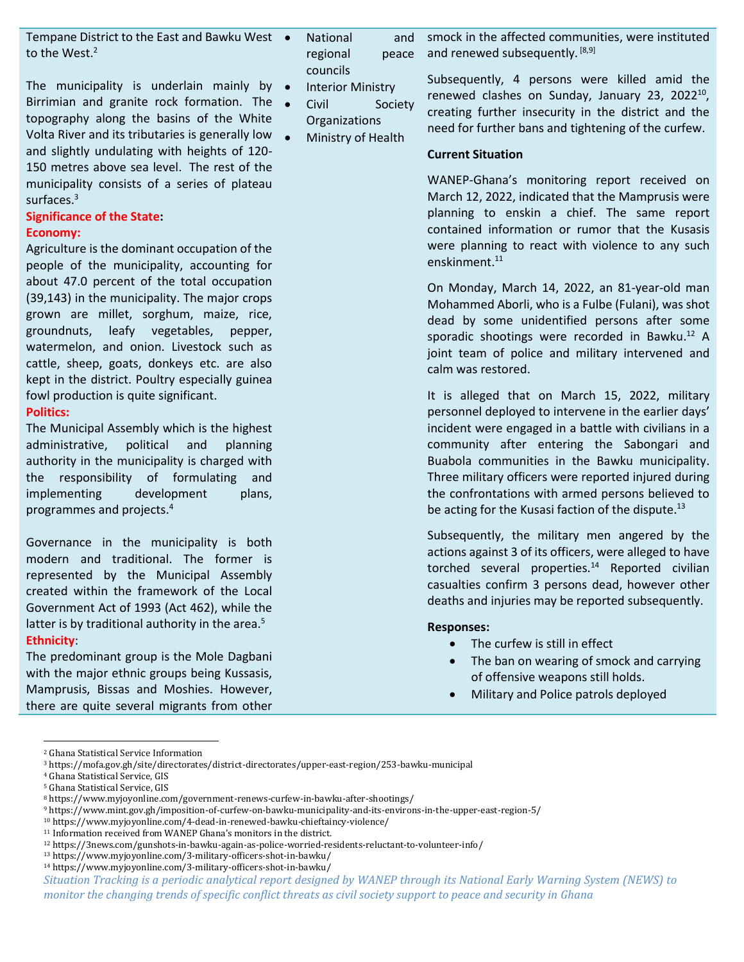Tempane District to the East and Bawku West to the West.<sup>2</sup>

The municipality is underlain mainly by  $\bullet$ Birrimian and granite rock formation. The  $\bullet$ topography along the basins of the White Volta River and its tributaries is generally low and slightly undulating with heights of 120- 150 metres above sea level. The rest of the municipality consists of a series of plateau surfaces.<sup>3</sup>

# **Significance of the State:**

#### **Economy:**

Agriculture is the dominant occupation of the people of the municipality, accounting for about 47.0 percent of the total occupation (39,143) in the municipality. The major crops grown are millet, sorghum, maize, rice, groundnuts, leafy vegetables, pepper, watermelon, and onion. Livestock such as cattle, sheep, goats, donkeys etc. are also kept in the district. Poultry especially guinea fowl production is quite significant.

#### **Politics:**

The Municipal Assembly which is the highest administrative, political and planning authority in the municipality is charged with the responsibility of formulating and implementing development plans, programmes and projects.<sup>4</sup>

Governance in the municipality is both modern and traditional. The former is represented by the Municipal Assembly created within the framework of the Local Government Act of 1993 (Act 462), while the latter is by traditional authority in the area. $5$ **Ethnicity**:

The predominant group is the Mole Dagbani with the major ethnic groups being Kussasis, Mamprusis, Bissas and Moshies. However, there are quite several migrants from other

- National and regional peace councils
- **Interior Ministry**
- Civil Society Organizations
- Ministry of Health

smock in the affected communities, were instituted and renewed subsequently. [8,9]

Subsequently, 4 persons were killed amid the renewed clashes on Sunday, January 23, 2022<sup>10</sup>, creating further insecurity in the district and the need for further bans and tightening of the curfew.

#### **Current Situation**

WANEP-Ghana's monitoring report received on March 12, 2022, indicated that the Mamprusis were planning to enskin a chief. The same report contained information or rumor that the Kusasis were planning to react with violence to any such enskinment.<sup>11</sup>

On Monday, March 14, 2022, an 81-year-old man Mohammed Aborli, who is a Fulbe (Fulani), was shot dead by some unidentified persons after some sporadic shootings were recorded in Bawku.<sup>12</sup> A joint team of police and military intervened and calm was restored.

It is alleged that on March 15, 2022, military personnel deployed to intervene in the earlier days' incident were engaged in a battle with civilians in a community after entering the Sabongari and Buabola communities in the Bawku municipality. Three military officers were reported injured during the confrontations with armed persons believed to be acting for the Kusasi faction of the dispute.<sup>13</sup>

Subsequently, the military men angered by the actions against 3 of its officers, were alleged to have torched several properties.<sup>14</sup> Reported civilian casualties confirm 3 persons dead, however other deaths and injuries may be reported subsequently.

#### **Responses:**

- The curfew is still in effect
- The ban on wearing of smock and carrying of offensive weapons still holds.
- Military and Police patrols deployed

<sup>2</sup> Ghana Statistical Service Information

<sup>3</sup> https://mofa.gov.gh/site/directorates/district-directorates/upper-east-region/253-bawku-municipal

<sup>4</sup> Ghana Statistical Service, GIS

<sup>5</sup> Ghana Statistical Service, GIS

<sup>8</sup> https://www.myjoyonline.com/government-renews-curfew-in-bawku-after-shootings/

<sup>9</sup> https://www.mint.gov.gh/imposition-of-curfew-on-bawku-municipality-and-its-environs-in-the-upper-east-region-5/

<sup>10</sup> https://www.myjoyonline.com/4-dead-in-renewed-bawku-chieftaincy-violence/

<sup>11</sup> Information received from WANEP Ghana's monitors in the district.

<sup>12</sup> https://3news.com/gunshots-in-bawku-again-as-police-worried-residents-reluctant-to-volunteer-info/

<sup>13</sup> https://www.myjoyonline.com/3-military-officers-shot-in-bawku/

*Situation Tracking is a periodic analytical report designed by WANEP through its National Early Warning System (NEWS) to*  <sup>14</sup> https://www.myjoyonline.com/3-military-officers-shot-in-bawku/

*monitor the changing trends of specific conflict threats as civil society support to peace and security in Ghana*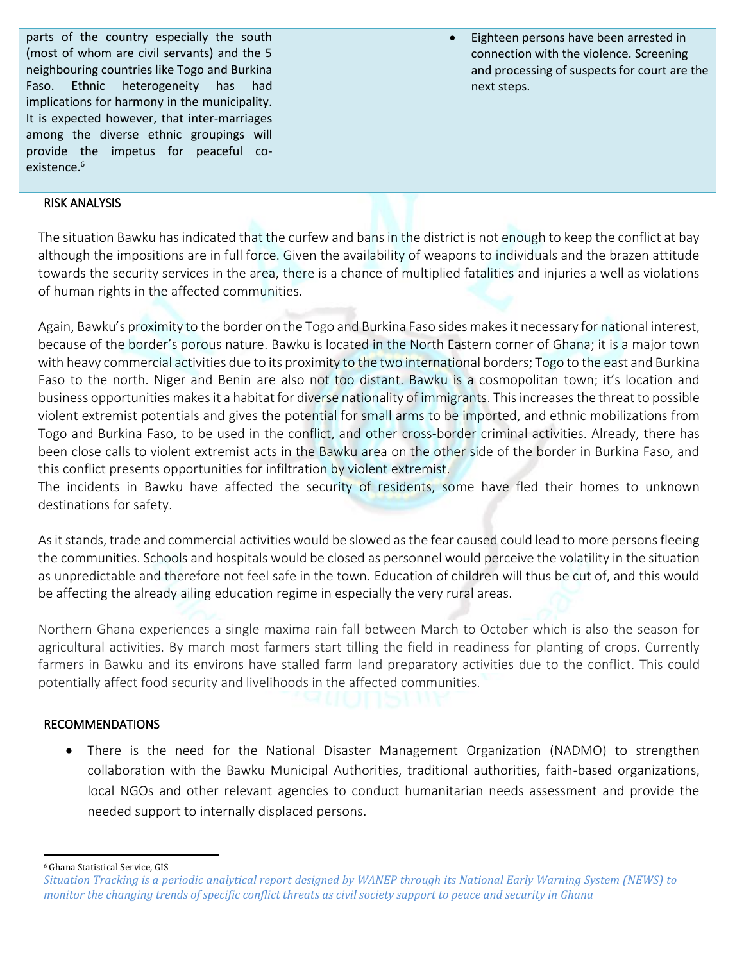parts of the country especially the south (most of whom are civil servants) and the 5 neighbouring countries like Togo and Burkina Faso. Ethnic heterogeneity has had implications for harmony in the municipality. It is expected however, that inter-marriages among the diverse ethnic groupings will provide the impetus for peaceful coexistence.<sup>6</sup>

• Eighteen persons have been arrested in connection with the violence. Screening and processing of suspects for court are the next steps.

## RISK ANALYSIS

The situation Bawku has indicated that the curfew and bans in the district is not enough to keep the conflict at bay although the impositions are in full force. Given the availability of weapons to individuals and the brazen attitude towards the security services in the area, there is a chance of multiplied fatalities and injuries a well as violations of human rights in the affected communities.

Again, Bawku's proximity to the border on the Togo and Burkina Faso sides makes it necessary for national interest, because of the border's porous nature. Bawku is located in the North Eastern corner of Ghana; it is a major town with heavy commercial activities due to its proximity to the two international borders; Togo to the east and Burkina Faso to the north. Niger and Benin are also not too distant. Bawku is a cosmopolitan town; it's location and business opportunities makes it a habitat for diverse nationality of immigrants. This increases the threat to possible violent extremist potentials and gives the potential for small arms to be imported, and ethnic mobilizations from Togo and Burkina Faso, to be used in the conflict, and other cross-border criminal activities. Already, there has been close calls to violent extremist acts in the Bawku area on the other side of the border in Burkina Faso, and this conflict presents opportunities for infiltration by violent extremist.

The incidents in Bawku have affected the security of residents, some have fled their homes to unknown destinations for safety.

As it stands, trade and commercial activities would be slowed as the fear caused could lead to more persons fleeing the communities. Schools and hospitals would be closed as personnel would perceive the volatility in the situation as unpredictable and therefore not feel safe in the town. Education of children will thus be cut of, and this would be affecting the already ailing education regime in especially the very rural areas.

Northern Ghana experiences a single maxima rain fall between March to October which is also the season for agricultural activities. By march most farmers start tilling the field in readiness for planting of crops. Currently farmers in Bawku and its environs have stalled farm land preparatory activities due to the conflict. This could potentially affect food security and livelihoods in the affected communities.

### RECOMMENDATIONS

• There is the need for the National Disaster Management Organization (NADMO) to strengthen collaboration with the Bawku Municipal Authorities, traditional authorities, faith-based organizations, local NGOs and other relevant agencies to conduct humanitarian needs assessment and provide the needed support to internally displaced persons.

<sup>6</sup> Ghana Statistical Service, GIS

*Situation Tracking is a periodic analytical report designed by WANEP through its National Early Warning System (NEWS) to monitor the changing trends of specific conflict threats as civil society support to peace and security in Ghana*